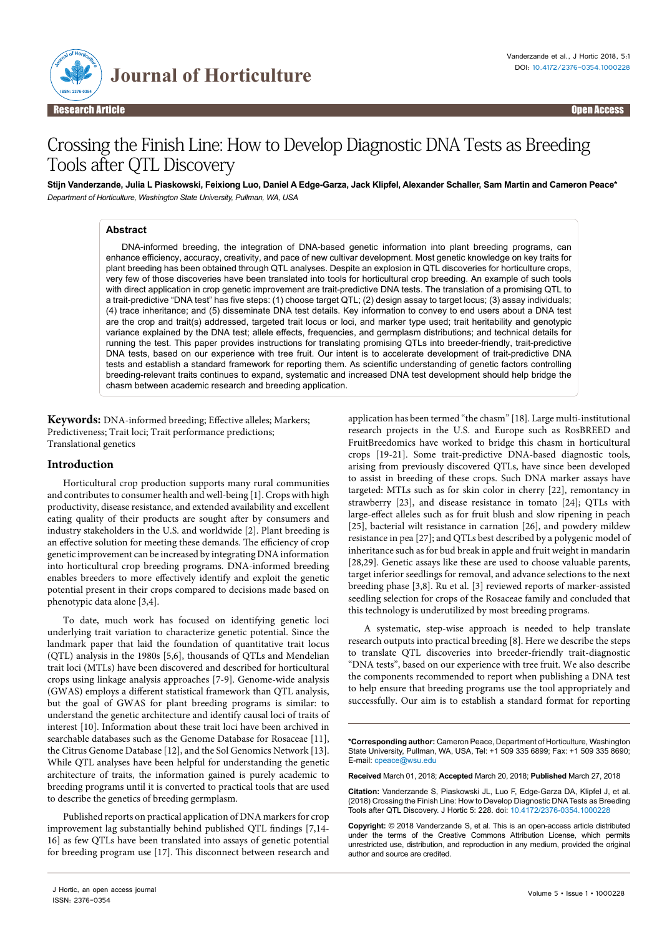

# Crossing the Finish Line: How to Develop Diagnostic DNA Tests as Breeding Tools after QTL Discovery

**Stijn Vanderzande, Julia L Piaskowski, Feixiong Luo, Daniel A Edge-Garza, Jack Klipfel, Alexander Schaller, Sam Martin and Cameron Peace\*** *Department of Horticulture, Washington State University, Pullman, WA, USA*

## **Abstract**

DNA-informed breeding, the integration of DNA-based genetic information into plant breeding programs, can enhance efficiency, accuracy, creativity, and pace of new cultivar development. Most genetic knowledge on key traits for plant breeding has been obtained through QTL analyses. Despite an explosion in QTL discoveries for horticulture crops, very few of those discoveries have been translated into tools for horticultural crop breeding. An example of such tools with direct application in crop genetic improvement are trait-predictive DNA tests. The translation of a promising QTL to a trait-predictive "DNA test" has five steps: (1) choose target QTL; (2) design assay to target locus; (3) assay individuals; (4) trace inheritance; and (5) disseminate DNA test details. Key information to convey to end users about a DNA test are the crop and trait(s) addressed, targeted trait locus or loci, and marker type used; trait heritability and genotypic variance explained by the DNA test; allele effects, frequencies, and germplasm distributions; and technical details for running the test. This paper provides instructions for translating promising QTLs into breeder-friendly, trait-predictive DNA tests, based on our experience with tree fruit. Our intent is to accelerate development of trait-predictive DNA tests and establish a standard framework for reporting them. As scientific understanding of genetic factors controlling breeding-relevant traits continues to expand, systematic and increased DNA test development should help bridge the chasm between academic research and breeding application.

**Keywords:** DNA-informed breeding; Effective alleles; Markers; Predictiveness; Trait loci; Trait performance predictions; Translational genetics

## **Introduction**

Horticultural crop production supports many rural communities and contributes to consumer health and well-being [1]. Crops with high productivity, disease resistance, and extended availability and excellent eating quality of their products are sought after by consumers and industry stakeholders in the U.S. and worldwide [2]. Plant breeding is an effective solution for meeting these demands. The efficiency of crop genetic improvement can be increased by integrating DNA information into horticultural crop breeding programs. DNA-informed breeding enables breeders to more effectively identify and exploit the genetic potential present in their crops compared to decisions made based on phenotypic data alone [3,4].

To date, much work has focused on identifying genetic loci underlying trait variation to characterize genetic potential. Since the landmark paper that laid the foundation of quantitative trait locus (QTL) analysis in the 1980s [5,6], thousands of QTLs and Mendelian trait loci (MTLs) have been discovered and described for horticultural crops using linkage analysis approaches [7-9]. Genome-wide analysis (GWAS) employs a different statistical framework than QTL analysis, but the goal of GWAS for plant breeding programs is similar: to understand the genetic architecture and identify causal loci of traits of interest [10]. Information about these trait loci have been archived in searchable databases such as the Genome Database for Rosaceae [11], the Citrus Genome Database [12], and the Sol Genomics Network [13]. While QTL analyses have been helpful for understanding the genetic architecture of traits, the information gained is purely academic to breeding programs until it is converted to practical tools that are used to describe the genetics of breeding germplasm.

Published reports on practical application of DNA markers for crop improvement lag substantially behind published QTL findings [7,14- 16] as few QTLs have been translated into assays of genetic potential for breeding program use [17]. This disconnect between research and application has been termed "the chasm" [18]. Large multi-institutional research projects in the U.S. and Europe such as RosBREED and FruitBreedomics have worked to bridge this chasm in horticultural crops [19-21]. Some trait-predictive DNA-based diagnostic tools, arising from previously discovered QTLs, have since been developed to assist in breeding of these crops. Such DNA marker assays have targeted: MTLs such as for skin color in cherry [22], remontancy in strawberry [23], and disease resistance in tomato [24]; QTLs with large-effect alleles such as for fruit blush and slow ripening in peach [25], bacterial wilt resistance in carnation [26], and powdery mildew resistance in pea [27]; and QTLs best described by a polygenic model of inheritance such as for bud break in apple and fruit weight in mandarin [28,29]. Genetic assays like these are used to choose valuable parents, target inferior seedlings for removal, and advance selections to the next breeding phase [3,8]. Ru et al. [3] reviewed reports of marker-assisted seedling selection for crops of the Rosaceae family and concluded that this technology is underutilized by most breeding programs.

A systematic, step-wise approach is needed to help translate research outputs into practical breeding [8]. Here we describe the steps to translate QTL discoveries into breeder-friendly trait-diagnostic "DNA tests", based on our experience with tree fruit. We also describe the components recommended to report when publishing a DNA test to help ensure that breeding programs use the tool appropriately and successfully. Our aim is to establish a standard format for reporting

**\*Corresponding author:** Cameron Peace, Department of Horticulture, Washington State University, Pullman, WA, USA, Tel: +1 509 335 6899; Fax: +1 509 335 8690; E-mail: cpeace@wsu.edu

**Received** March 01, 2018; **Accepted** March 20, 2018; **Published** March 27, 2018

**Citation:** Vanderzande S, Piaskowski JL, Luo F, Edge-Garza DA, Klipfel J, et al. (2018) Crossing the Finish Line: How to Develop Diagnostic DNA Tests as Breeding Tools after QTL Discovery. J Hortic 5: 228. doi: 10.4172/2376-0354.1000228

**Copyright:** © 2018 Vanderzande S, et al. This is an open-access article distributed under the terms of the Creative Commons Attribution License, which permits unrestricted use, distribution, and reproduction in any medium, provided the original author and source are credited.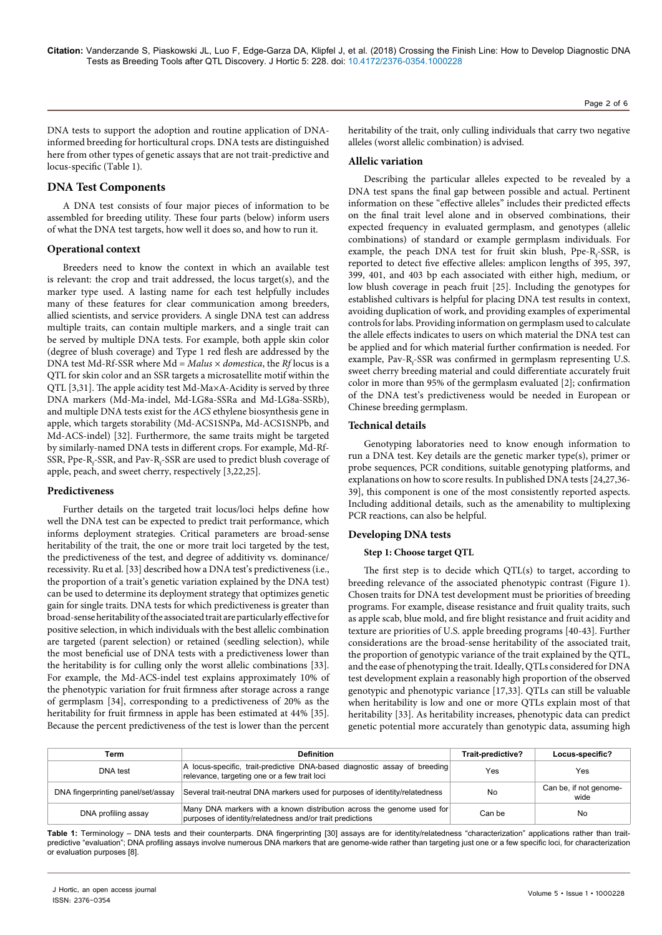DNA tests to support the adoption and routine application of DNAinformed breeding for horticultural crops. DNA tests are distinguished here from other types of genetic assays that are not trait-predictive and locus-specific (Table 1).

# **DNA Test Components**

A DNA test consists of four major pieces of information to be assembled for breeding utility. These four parts (below) inform users of what the DNA test targets, how well it does so, and how to run it.

## **Operational context**

Breeders need to know the context in which an available test is relevant: the crop and trait addressed, the locus target(s), and the marker type used. A lasting name for each test helpfully includes many of these features for clear communication among breeders, allied scientists, and service providers. A single DNA test can address multiple traits, can contain multiple markers, and a single trait can be served by multiple DNA tests. For example, both apple skin color (degree of blush coverage) and Type 1 red flesh are addressed by the DNA test Md-Rf-SSR where Md = *Malus* × *domestica*, the *Rf* locus is a QTL for skin color and an SSR targets a microsatellite motif within the QTL [3,31]. The apple acidity test Md-Ma×A-Acidity is served by three DNA markers (Md-Ma-indel, Md-LG8a-SSRa and Md-LG8a-SSRb), and multiple DNA tests exist for the *ACS* ethylene biosynthesis gene in apple, which targets storability (Md-ACS1SNPa, Md-ACS1SNPb, and Md-ACS-indel) [32]. Furthermore, the same traits might be targeted by similarly-named DNA tests in different crops. For example, Md-Rf-SSR, Ppe-R<sub>f</sub>-SSR, and Pav-R<sub>f</sub>-SSR are used to predict blush coverage of apple, peach, and sweet cherry, respectively [3,22,25].

## **Predictiveness**

Further details on the targeted trait locus/loci helps define how well the DNA test can be expected to predict trait performance, which informs deployment strategies. Critical parameters are broad-sense heritability of the trait, the one or more trait loci targeted by the test, the predictiveness of the test, and degree of additivity vs. dominance/ recessivity. Ru et al. [33] described how a DNA test's predictiveness (i.e., the proportion of a trait's genetic variation explained by the DNA test) can be used to determine its deployment strategy that optimizes genetic gain for single traits. DNA tests for which predictiveness is greater than broad-sense heritability of the associated trait are particularly effective for positive selection, in which individuals with the best allelic combination are targeted (parent selection) or retained (seedling selection), while the most beneficial use of DNA tests with a predictiveness lower than the heritability is for culling only the worst allelic combinations [33]. For example, the Md-ACS-indel test explains approximately 10% of the phenotypic variation for fruit firmness after storage across a range of germplasm [34], corresponding to a predictiveness of 20% as the heritability for fruit firmness in apple has been estimated at 44% [35]. Because the percent predictiveness of the test is lower than the percent Page 2 of 6

heritability of the trait, only culling individuals that carry two negative alleles (worst allelic combination) is advised.

## **Allelic variation**

Describing the particular alleles expected to be revealed by a DNA test spans the final gap between possible and actual. Pertinent information on these "effective alleles" includes their predicted effects on the final trait level alone and in observed combinations, their expected frequency in evaluated germplasm, and genotypes (allelic combinations) of standard or example germplasm individuals. For example, the peach DNA test for fruit skin blush, Ppe-R<sub>f</sub>-SSR, is reported to detect five effective alleles: amplicon lengths of 395, 397, 399, 401, and 403 bp each associated with either high, medium, or low blush coverage in peach fruit [25]. Including the genotypes for established cultivars is helpful for placing DNA test results in context, avoiding duplication of work, and providing examples of experimental controls for labs. Providing information on germplasm used to calculate the allele effects indicates to users on which material the DNA test can be applied and for which material further confirmation is needed. For example, Pav-R<sub>f</sub>-SSR was confirmed in germplasm representing U.S. sweet cherry breeding material and could differentiate accurately fruit color in more than 95% of the germplasm evaluated [2]; confirmation of the DNA test's predictiveness would be needed in European or Chinese breeding germplasm.

## **Technical details**

Genotyping laboratories need to know enough information to run a DNA test. Key details are the genetic marker type(s), primer or probe sequences, PCR conditions, suitable genotyping platforms, and explanations on how to score results. In published DNA tests [24,27,36- 39], this component is one of the most consistently reported aspects. Including additional details, such as the amenability to multiplexing PCR reactions, can also be helpful.

## **Developing DNA tests**

## **Step 1: Choose target QTL**

The first step is to decide which QTL(s) to target, according to breeding relevance of the associated phenotypic contrast (Figure 1). Chosen traits for DNA test development must be priorities of breeding programs. For example, disease resistance and fruit quality traits, such as apple scab, blue mold, and fire blight resistance and fruit acidity and texture are priorities of U.S. apple breeding programs [40-43]. Further considerations are the broad-sense heritability of the associated trait, the proportion of genotypic variance of the trait explained by the QTL, and the ease of phenotyping the trait. Ideally, QTLs considered for DNA test development explain a reasonably high proportion of the observed genotypic and phenotypic variance [17,33]. QTLs can still be valuable when heritability is low and one or more QTLs explain most of that heritability [33]. As heritability increases, phenotypic data can predict genetic potential more accurately than genotypic data, assuming high

| Term                               | <b>Definition</b>                                                                                                                  | Trait-predictive? | Locus-specific?                |
|------------------------------------|------------------------------------------------------------------------------------------------------------------------------------|-------------------|--------------------------------|
| DNA test                           | A locus-specific, trait-predictive DNA-based diagnostic assay of breeding<br>relevance, targeting one or a few trait loci          | Yes               | Yes                            |
| DNA fingerprinting panel/set/assay | Several trait-neutral DNA markers used for purposes of identity/relatedness                                                        | No                | Can be, if not genome-<br>wide |
| DNA profiling assay                | Many DNA markers with a known distribution across the genome used for<br>purposes of identity/relatedness and/or trait predictions | Can be            | No                             |

**Table 1:** Terminology – DNA tests and their counterparts. DNA fingerprinting [30] assays are for identity/relatedness "characterization" applications rather than traitpredictive "evaluation"; DNA profiling assays involve numerous DNA markers that are genome-wide rather than targeting just one or a few specific loci, for characterization or evaluation purposes [8].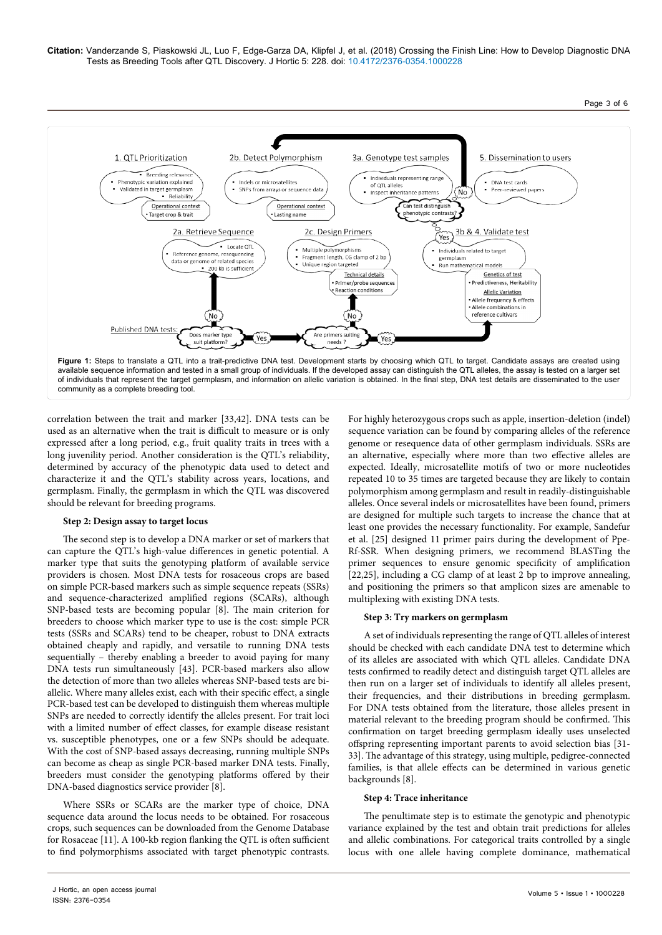

correlation between the trait and marker [33,42]. DNA tests can be used as an alternative when the trait is difficult to measure or is only expressed after a long period, e.g., fruit quality traits in trees with a long juvenility period. Another consideration is the QTL's reliability, determined by accuracy of the phenotypic data used to detect and characterize it and the QTL's stability across years, locations, and germplasm. Finally, the germplasm in which the QTL was discovered should be relevant for breeding programs.

## **Step 2: Design assay to target locus**

The second step is to develop a DNA marker or set of markers that can capture the QTL's high-value differences in genetic potential. A marker type that suits the genotyping platform of available service providers is chosen. Most DNA tests for rosaceous crops are based on simple PCR-based markers such as simple sequence repeats (SSRs) and sequence-characterized amplified regions (SCARs), although SNP-based tests are becoming popular [8]. The main criterion for breeders to choose which marker type to use is the cost: simple PCR tests (SSRs and SCARs) tend to be cheaper, robust to DNA extracts obtained cheaply and rapidly, and versatile to running DNA tests sequentially – thereby enabling a breeder to avoid paying for many DNA tests run simultaneously [43]. PCR-based markers also allow the detection of more than two alleles whereas SNP-based tests are biallelic. Where many alleles exist, each with their specific effect, a single PCR-based test can be developed to distinguish them whereas multiple SNPs are needed to correctly identify the alleles present. For trait loci with a limited number of effect classes, for example disease resistant vs. susceptible phenotypes, one or a few SNPs should be adequate. With the cost of SNP-based assays decreasing, running multiple SNPs can become as cheap as single PCR-based marker DNA tests. Finally, breeders must consider the genotyping platforms offered by their DNA-based diagnostics service provider [8].

Where SSRs or SCARs are the marker type of choice, DNA sequence data around the locus needs to be obtained. For rosaceous crops, such sequences can be downloaded from the Genome Database for Rosaceae [11]. A 100-kb region flanking the QTL is often sufficient to find polymorphisms associated with target phenotypic contrasts.

For highly heterozygous crops such as apple, insertion-deletion (indel) sequence variation can be found by comparing alleles of the reference genome or resequence data of other germplasm individuals. SSRs are an alternative, especially where more than two effective alleles are expected. Ideally, microsatellite motifs of two or more nucleotides repeated 10 to 35 times are targeted because they are likely to contain polymorphism among germplasm and result in readily-distinguishable alleles. Once several indels or microsatellites have been found, primers are designed for multiple such targets to increase the chance that at least one provides the necessary functionality. For example, Sandefur et al. [25] designed 11 primer pairs during the development of Ppe-Rf-SSR. When designing primers, we recommend BLASTing the primer sequences to ensure genomic specificity of amplification [22,25], including a CG clamp of at least 2 bp to improve annealing, and positioning the primers so that amplicon sizes are amenable to multiplexing with existing DNA tests.

## **Step 3: Try markers on germplasm**

A set of individuals representing the range of QTL alleles of interest should be checked with each candidate DNA test to determine which of its alleles are associated with which QTL alleles. Candidate DNA tests confirmed to readily detect and distinguish target QTL alleles are then run on a larger set of individuals to identify all alleles present, their frequencies, and their distributions in breeding germplasm. For DNA tests obtained from the literature, those alleles present in material relevant to the breeding program should be confirmed. This confirmation on target breeding germplasm ideally uses unselected offspring representing important parents to avoid selection bias [31- 33]. The advantage of this strategy, using multiple, pedigree-connected families, is that allele effects can be determined in various genetic backgrounds [8].

## **Step 4: Trace inheritance**

The penultimate step is to estimate the genotypic and phenotypic variance explained by the test and obtain trait predictions for alleles and allelic combinations. For categorical traits controlled by a single locus with one allele having complete dominance, mathematical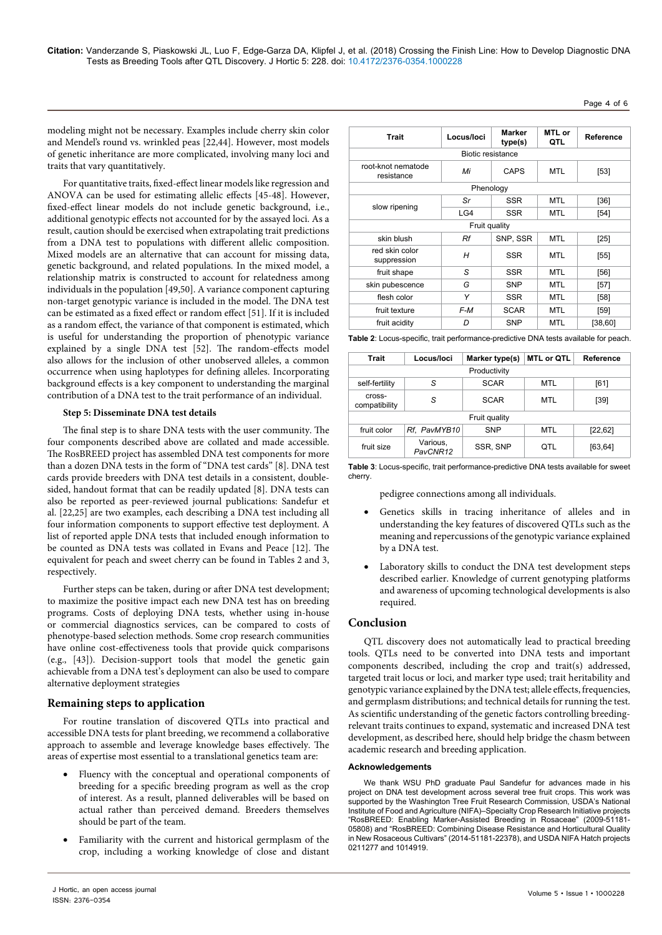Page 4 of 6

modeling might not be necessary. Examples include cherry skin color and Mendel's round vs. wrinkled peas [22,44]. However, most models of genetic inheritance are more complicated, involving many loci and traits that vary quantitatively.

For quantitative traits, fixed-effect linear models like regression and ANOVA can be used for estimating allelic effects [45-48]. However, fixed-effect linear models do not include genetic background, i.e., additional genotypic effects not accounted for by the assayed loci. As a result, caution should be exercised when extrapolating trait predictions from a DNA test to populations with different allelic composition. Mixed models are an alternative that can account for missing data, genetic background, and related populations. In the mixed model, a relationship matrix is constructed to account for relatedness among individuals in the population [49,50]. A variance component capturing non-target genotypic variance is included in the model. The DNA test can be estimated as a fixed effect or random effect [51]. If it is included as a random effect, the variance of that component is estimated, which is useful for understanding the proportion of phenotypic variance explained by a single DNA test [52]. The random-effects model also allows for the inclusion of other unobserved alleles, a common occurrence when using haplotypes for defining alleles. Incorporating background effects is a key component to understanding the marginal contribution of a DNA test to the trait performance of an individual.

## **Step 5: Disseminate DNA test details**

The final step is to share DNA tests with the user community. The four components described above are collated and made accessible. The RosBREED project has assembled DNA test components for more than a dozen DNA tests in the form of "DNA test cards" [8]. DNA test cards provide breeders with DNA test details in a consistent, doublesided, handout format that can be readily updated [8]. DNA tests can also be reported as peer-reviewed journal publications: Sandefur et al. [22,25] are two examples, each describing a DNA test including all four information components to support effective test deployment. A list of reported apple DNA tests that included enough information to be counted as DNA tests was collated in Evans and Peace [12]. The equivalent for peach and sweet cherry can be found in Tables 2 and 3, respectively.

Further steps can be taken, during or after DNA test development; to maximize the positive impact each new DNA test has on breeding programs. Costs of deploying DNA tests, whether using in-house or commercial diagnostics services, can be compared to costs of phenotype-based selection methods. Some crop research communities have online cost-effectiveness tools that provide quick comparisons (e.g., [43]). Decision-support tools that model the genetic gain achievable from a DNA test's deployment can also be used to compare alternative deployment strategies

## **Remaining steps to application**

For routine translation of discovered QTLs into practical and accessible DNA tests for plant breeding, we recommend a collaborative approach to assemble and leverage knowledge bases effectively. The areas of expertise most essential to a translational genetics team are:

- Fluency with the conceptual and operational components of breeding for a specific breeding program as well as the crop of interest. As a result, planned deliverables will be based on actual rather than perceived demand. Breeders themselves should be part of the team.
- Familiarity with the current and historical germplasm of the crop, including a working knowledge of close and distant

| <b>Trait</b>                     | Locus/loci | Marker<br>type(s) | MTL or<br>QTL | Reference |  |  |  |
|----------------------------------|------------|-------------------|---------------|-----------|--|--|--|
| <b>Biotic resistance</b>         |            |                   |               |           |  |  |  |
| root-knot nematode<br>resistance | Mi         | <b>CAPS</b>       | <b>MTL</b>    | $[53]$    |  |  |  |
| Phenology                        |            |                   |               |           |  |  |  |
|                                  | Sr         | <b>SSR</b>        | <b>MTL</b>    | [36]      |  |  |  |
| slow ripening                    | LG4        | SSR               | <b>MTL</b>    | $[54]$    |  |  |  |
| Fruit quality                    |            |                   |               |           |  |  |  |
| skin blush                       | Rf         | SNP, SSR          | <b>MTL</b>    | $[25]$    |  |  |  |
| red skin color<br>suppression    | Н          | <b>SSR</b>        | <b>MTL</b>    | $[55]$    |  |  |  |
| fruit shape                      | S          | <b>SSR</b>        | <b>MTL</b>    | [56]      |  |  |  |
| skin pubescence                  | G          | <b>SNP</b>        | <b>MTL</b>    | $[57]$    |  |  |  |
| flesh color                      | Υ          | <b>SSR</b>        | <b>MTL</b>    | [58]      |  |  |  |
| fruit texture                    | $F-M$      | <b>SCAR</b>       | <b>MTL</b>    | $[59]$    |  |  |  |
| fruit acidity                    | D          | <b>SNP</b>        | <b>MTL</b>    | [38, 60]  |  |  |  |

**Table 2**: Locus-specific, trait performance-predictive DNA tests available for peach.

| Trait                   | Locus/loci           | Marker type(s) | <b>MTL or QTL</b> | Reference |  |  |
|-------------------------|----------------------|----------------|-------------------|-----------|--|--|
| Productivity            |                      |                |                   |           |  |  |
| self-fertility          | S                    | <b>SCAR</b>    | <b>MTL</b>        | [61]      |  |  |
| cross-<br>compatibility | S                    | <b>SCAR</b>    | <b>MTL</b>        | $[39]$    |  |  |
| Fruit quality           |                      |                |                   |           |  |  |
| fruit color             | Rf, PavMYB10         | <b>SNP</b>     | <b>MTL</b>        | [22, 62]  |  |  |
| fruit size              | Various,<br>PavCNR12 | SSR, SNP       | OTL               | [63, 64]  |  |  |

**Table 3**: Locus-specific, trait performance-predictive DNA tests available for sweet cherry.

pedigree connections among all individuals.

- • Genetics skills in tracing inheritance of alleles and in understanding the key features of discovered QTLs such as the meaning and repercussions of the genotypic variance explained by a DNA test.
- Laboratory skills to conduct the DNA test development steps described earlier. Knowledge of current genotyping platforms and awareness of upcoming technological developments is also required.

## **Conclusion**

QTL discovery does not automatically lead to practical breeding tools. QTLs need to be converted into DNA tests and important components described, including the crop and trait(s) addressed, targeted trait locus or loci, and marker type used; trait heritability and genotypic variance explained by the DNA test; allele effects, frequencies, and germplasm distributions; and technical details for running the test. As scientific understanding of the genetic factors controlling breedingrelevant traits continues to expand, systematic and increased DNA test development, as described here, should help bridge the chasm between academic research and breeding application.

#### **Acknowledgements**

We thank WSU PhD graduate Paul Sandefur for advances made in his project on DNA test development across several tree fruit crops. This work was supported by the Washington Tree Fruit Research Commission, USDA's National Institute of Food and Agriculture (NIFA)–Specialty Crop Research Initiative projects "RosBREED: Enabling Marker-Assisted Breeding in Rosaceae" (2009-51181- 05808) and "RosBREED: Combining Disease Resistance and Horticultural Quality in New Rosaceous Cultivars" (2014-51181-22378), and USDA NIFA Hatch projects 0211277 and 1014919.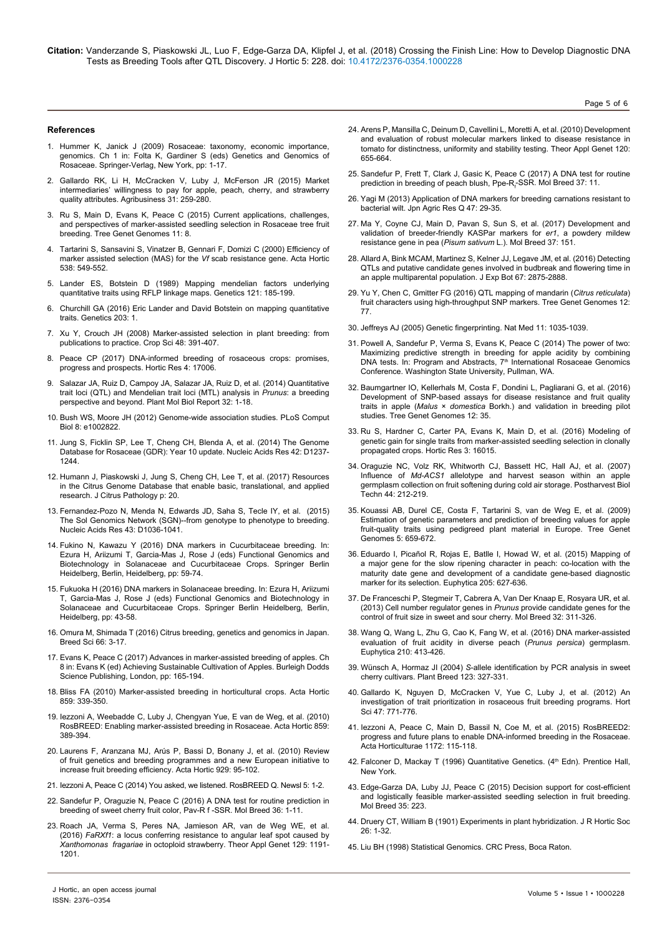**Citation:** Vanderzande S, Piaskowski JL, Luo F, Edge-Garza DA, Klipfel J, et al. (2018) Crossing the Finish Line: How to Develop Diagnostic DNA Tests as Breeding Tools after QTL Discovery. J Hortic 5: 228. doi: 10.4172/2376-0354.1000228

Page 5 of 6

#### **References**

- 1. [Hummer K, Janick J \(2009\) Rosaceae: taxonomy, economic importance,](https://doi.org/10.1007/978-0-387-77491-6_1) [genomics. Ch 1 in: Folta K, Gardiner S \(eds\) Genetics and Genomics of](https://doi.org/10.1007/978-0-387-77491-6_1) [Rosaceae. Springer-Verlag, New York, pp: 1-17](https://doi.org/10.1007/978-0-387-77491-6_1).
- 2. [Gallardo RK, Li H, McCracken V, Luby J, McFerson JR \(2015\) Market](https://doi.org/10.1002/agr.21396) [intermediaries' willingness to pay for apple, peach, cherry, and strawberry](https://doi.org/10.1002/agr.21396) [quality attributes. Agribusiness 31: 259-280](https://doi.org/10.1002/agr.21396).
- 3. [Ru S, Main D, Evans K, Peace C \(2015\) Current applications, challenges,](https://doi.org/10.1007/s11295-015-0834-5) [and perspectives of marker-assisted seedling selection in Rosaceae tree fruit](https://doi.org/10.1007/s11295-015-0834-5) [breeding. Tree Genet Genomes 11: 8](https://doi.org/10.1007/s11295-015-0834-5).
- 4. [Tartarini S, Sansavini S, Vinatzer B, Gennari F, Domizi C \(2000\) Efficiency of](https://doi.org/10.17660/actahortic.2000.538.96) [marker assisted selection \(MAS\) for the](https://doi.org/10.17660/actahortic.2000.538.96) *Vf* scab resistance gene. Acta Hortic [538: 549-552](https://doi.org/10.17660/actahortic.2000.538.96).
- 5. [Lander ES, Botstein D \(1989\) Mapping mendelian factors underlying](http://www.genetics.org/content/121/1/185) [quantitative traits using RFLP linkage maps. Genetics 121: 185-199](http://www.genetics.org/content/121/1/185).
- 6. [Churchill GA \(2016\) Eric Lander and David Botstein on mapping quantitative](https://doi.org/10.1534/genetics.116.189803) [traits. Genetics 203: 1.](https://doi.org/10.1534/genetics.116.189803)
- 7. [Xu Y, Crouch JH \(2008\) Marker-assisted selection in plant breeding: from](https://doi.org/10.2135/cropsci2007.04.0191) [publications to practice. Crop Sci 48: 391-407](https://doi.org/10.2135/cropsci2007.04.0191).
- 8. [Peace CP \(2017\) DNA-informed breeding of rosaceous crops: promises,](https://doi.org/10.1038/hortres.2017.6) [progress and prospects. Hortic Res 4: 17006.](https://doi.org/10.1038/hortres.2017.6)
- 9. [Salazar JA, Ruiz D, Campoy JA, Salazar JA, Ruiz D, et al. \(2014\) Quantitative](https://doi.org/10.1007/s11105-013-0643-7) [trait loci \(QTL\) and Mendelian trait loci \(MTL\) analysis in](https://doi.org/10.1007/s11105-013-0643-7) *Prunus*: a breeding [perspective and beyond. Plant Mol Biol Report 32: 1-18](https://doi.org/10.1007/s11105-013-0643-7).
- 10. Bush WS, Moore JH (2012) Genome-wide association studies. PLoS Comput Biol 8: e1002822.
- 11. [Jung S, Ficklin SP, Lee T, Cheng CH, Blenda A, et al. \(2014\) The Genome](https://doi.org/10.1093/nar/gkm803) [Database for Rosaceae \(GDR\): Year 10 update. Nucleic Acids Res 42: D1237-](https://doi.org/10.1093/nar/gkm803) [1244](https://doi.org/10.1093/nar/gkm803).
- 12. Humann J, Piaskowski J, Jung S, Cheng CH, Lee T, et al. (2017) Resources in the Citrus Genome Database that enable basic, translational, and applied research. J Citrus Pathology p: 20.
- 13. [Fernandez-Pozo N, Menda N, Edwards JD, Saha S, Tecle IY, et al. \(2015\)](https://doi.org/10.1093/nar/gku1195) [The Sol Genomics Network \(SGN\)--from genotype to phenotype to breeding.](https://doi.org/10.1093/nar/gku1195) [Nucleic Acids Res 43: D1036-1041](https://doi.org/10.1093/nar/gku1195).
- 14. [Fukino N, Kawazu Y \(2016\) DNA markers in Cucurbitaceae breeding. In:](https://doi.org/10.1007/978-3-662-48535-4_5) [Ezura H, Ariizumi T, Garcia-Mas J, Rose J \(eds\) Functional Genomics and](https://doi.org/10.1007/978-3-662-48535-4_5) [Biotechnology in Solanaceae and Cucurbitaceae Crops. Springer Berlin](https://doi.org/10.1007/978-3-662-48535-4_5) [Heidelberg, Berlin, Heidelberg, pp: 59-74.](https://doi.org/10.1007/978-3-662-48535-4_5)
- 15. [Fukuoka H \(2016\) DNA markers in Solanaceae breeding. In: Ezura H, Ariizumi](https://doi.org/10.1007/978-3-662-48535-4_4) [T, Garcia-Mas J, Rose J \(eds\) Functional Genomics and Biotechnology in](https://doi.org/10.1007/978-3-662-48535-4_4) [Solanaceae and Cucurbitaceae Crops. Springer Berlin Heidelberg, Berlin,](https://doi.org/10.1007/978-3-662-48535-4_4) [Heidelberg, pp: 43-58](https://doi.org/10.1007/978-3-662-48535-4_4).
- 16. Omura M, Shimada T (2016) Citrus breeding, genetics and genomics in Japan. Breed Sci 66: 3-17.
- 17. [Evans K, Peace C \(2017\) Advances in marker-assisted breeding of apples. Ch](https://doi.org/10.19103/as.2016.0017.09) [8 in: Evans K \(ed\) Achieving Sustainable Cultivation of Apples. Burleigh Dodds](https://doi.org/10.19103/as.2016.0017.09) [Science Publishing, London, pp: 165-194.](https://doi.org/10.19103/as.2016.0017.09)
- 18. [Bliss FA \(2010\) Marker-assisted breeding in horticultural crops. Acta Hortic](https://doi.org/10.17660/actahortic.2010.859.40) [859: 339-350](https://doi.org/10.17660/actahortic.2010.859.40).
- 19. [Iezzoni A, Weebadde C, Luby J, Chengyan Yue, E van de Weg, et al. \(2010\)](https://doi.org/10.17660/actahortic.2010.859.47) [RosBREED: Enabling marker-assisted breeding in Rosaceae. Acta Hortic 859:](https://doi.org/10.17660/actahortic.2010.859.47) [389-394.](https://doi.org/10.17660/actahortic.2010.859.47)
- 20. [Laurens F, Aranzana MJ, Arús P, Bassi D, Bonany J, et al. \(2010\) Review](https://doi.org/10.17660/actahortic.2012.929.12) [of fruit genetics and breeding programmes and a new European initiative to](https://doi.org/10.17660/actahortic.2012.929.12) [increase fruit breeding efficiency. Acta Hortic 929: 95-102](https://doi.org/10.17660/actahortic.2012.929.12).
- 21. Iezzoni A, Peace C (2014) You asked, we listened. RosBREED Q. Newsl 5: 1-2.
- 22. [Sandefur P, Oraguzie N, Peace C \(2016\) A DNA test for routine prediction in](https://doi.org/10.1007/s11032-016-0458-y) [breeding of sweet cherry fruit color, Pav-R f -SSR. Mol Breed 36: 1-11.](https://doi.org/10.1007/s11032-016-0458-y)
- 23. [Roach JA, Verma S, Peres NA, Jamieson AR, van de Weg WE, et al.](https://doi.org/10.1007/s00122-016-2695-1) (2016) *FaRXf1*[: a locus conferring resistance to angular leaf spot caused by](https://doi.org/10.1007/s00122-016-2695-1) *Xanthomonas fragariae* [in octoploid strawberry. Theor Appl Genet 129: 1191-](https://doi.org/10.1007/s00122-016-2695-1) [1201.](https://doi.org/10.1007/s00122-016-2695-1)
- 24. [Arens P, Mansilla C, Deinum D, Cavellini L, Moretti A, et al. \(2010\) Development](https://doi.org/10.1007/s00122-009-1183-2)  [and evaluation of robust molecular markers linked to disease resistance in](https://doi.org/10.1007/s00122-009-1183-2)  [tomato for distinctness, uniformity and stability testing. Theor Appl Genet 120:](https://doi.org/10.1007/s00122-009-1183-2)  [655-664.](https://doi.org/10.1007/s00122-009-1183-2)
- 25. [Sandefur P, Frett T, Clark J, Gasic K, Peace C \(2017\) A DNA test for routine](https://doi.org/10.1007/s11032-016-0615-3)  prediction in breeding of peach blush, Ppe-R<sub>f</sub>-SSR. Mol Breed 37: 11.
- 26. [Yagi M \(2013\) Application of DNA markers for breeding carnations resistant to](https://doi.org/10.6090/jarq.47.29)  [bacterial wilt. Jpn Agric Res Q 47: 29-35](https://doi.org/10.6090/jarq.47.29).
- 27. [Ma Y, Coyne CJ, Main D, Pavan S, Sun S, et al. \(2017\) Development and](https://doi.org/10.1007/s11032-017-0740-7)  [validation of breeder-friendly KASPar markers for](https://doi.org/10.1007/s11032-017-0740-7) *er1*, a powdery mildew [resistance gene in pea \(](https://doi.org/10.1007/s11032-017-0740-7)*Pisum sativum* L.). Mol Breed 37: 151.
- 28. [Allard A, Bink MCAM, Martinez S, Kelner JJ, Legave JM, et al. \(2016\) Detecting](https://doi.org/10.1093/jxb/erw130)  [QTLs and putative candidate genes involved in budbreak and flowering time in](https://doi.org/10.1093/jxb/erw130)  [an apple multiparental population. J Exp Bot 67: 2875-2888.](https://doi.org/10.1093/jxb/erw130)
- 29. [Yu Y, Chen C, Gmitter FG \(2016\) QTL mapping of mandarin \(](https://doi.org/10.1007/s11295-016-1034-7)*Citrus reticulata*) [fruit characters using high-throughput SNP markers. Tree Genet Genomes 12:](https://doi.org/10.1007/s11295-016-1034-7)  [77](https://doi.org/10.1007/s11295-016-1034-7).
- 30. Jeffreys AJ (2005) Genetic fingerprinting. Nat Med 11: 1035-1039.
- 31. Powell A, Sandefur P, Verma S, Evans K, Peace C (2014) The power of two: Maximizing predictive strength in breeding for apple acidity by combining DNA tests. In: Program and Abstracts, 7<sup>th</sup> International Rosaceae Genomics Conference. Washington State University, Pullman, WA.
- 32. Baumgartner IO, Kellerhals M, Costa F, Dondini L, Pagliarani G, et al. (2016) Development of SNP-based assays for disease resistance and fruit quality traits in apple (*Malus* × *domestica* Borkh.) and validation in breeding pilot studies. Tree Genet Genomes 12: 35.
- 33. [Ru S, Hardner C, Carter PA, Evans K, Main D, et al. \(2016\) Modeling of](https://doi.org/10.1038/hortres.2016.15)  [genetic gain for single traits from marker-assisted seedling selection in clonally](https://doi.org/10.1038/hortres.2016.15)  [propagated crops. Hortic Res 3: 16015.](https://doi.org/10.1038/hortres.2016.15)
- 34. [Oraguzie NC, Volz RK, Whitworth CJ, Bassett HC, Hall AJ, et al. \(2007\)](https://doi.org/10.1016/j.postharvbio.2006.12.013)  Influence of *Md-ACS1* [allelotype and harvest season within an apple](https://doi.org/10.1016/j.postharvbio.2006.12.013)  [germplasm collection on fruit softening during cold air storage. Postharvest Biol](https://doi.org/10.1016/j.postharvbio.2006.12.013)  [Techn 44: 212-219.](https://doi.org/10.1016/j.postharvbio.2006.12.013)
- 35. [Kouassi AB, Durel CE, Costa F, Tartarini S, van de Weg E, et al. \(2009\)](https://doi.org/10.1007/s11295-009-0217-x)  [Estimation of genetic parameters and prediction of breeding values for apple](https://doi.org/10.1007/s11295-009-0217-x)  [fruit-quality traits using pedigreed plant material in Europe. Tree Genet](https://doi.org/10.1007/s11295-009-0217-x)  [Genomes 5: 659-672.](https://doi.org/10.1007/s11295-009-0217-x)
- 36. [Eduardo I, Picañol R, Rojas E, Batlle I, Howad W, et al. \(2015\) Mapping of](https://doi.org/10.1007/s10681-015-1445-9)  [a major gene for the slow ripening character in peach: co-location with the](https://doi.org/10.1007/s10681-015-1445-9)  [maturity date gene and development of a candidate gene-based diagnostic](https://doi.org/10.1007/s10681-015-1445-9)  [marker for its selection. Euphytica 205: 627-636.](https://doi.org/10.1007/s10681-015-1445-9)
- 37. [De Franceschi P, Stegmeir T, Cabrera A, Van Der Knaap E, Rosyara UR, et al.](https://doi.org/10.1007/s11032-013-9872-6)  [\(2013\) Cell number regulator genes in](https://doi.org/10.1007/s11032-013-9872-6) *Prunus* provide candidate genes for the [control of fruit size in sweet and sour cherry. Mol Breed 32: 311-326.](https://doi.org/10.1007/s11032-013-9872-6)
- 38. [Wang Q, Wang L, Zhu G, Cao K, Fang W, et al. \(2016\) DNA marker-assisted](https://doi.org/10.1007/s10681-016-1709-z)  [evaluation of fruit acidity in diverse peach \(](https://doi.org/10.1007/s10681-016-1709-z)*Prunus persica*) germplasm. [Euphytica 210: 413-426.](https://doi.org/10.1007/s10681-016-1709-z)
- 39. Wünsch A, Hormaz JI (2004) *S*[-allele identification by PCR analysis in sweet](https://doi.org/10.1111/j.1439-0523.2004.00984.x)  [cherry cultivars. Plant Breed 123: 327-331](https://doi.org/10.1111/j.1439-0523.2004.00984.x).
- 40. [Gallardo K, Nguyen D, McCracken V, Yue C, Luby J, et al. \(2012\) An](https://doi.org/10.21273/hortsci12027-17)  [investigation of trait prioritization in rosaceous fruit breeding programs. Hort](https://doi.org/10.21273/hortsci12027-17)  [Sci 47: 771-776.](https://doi.org/10.21273/hortsci12027-17)
- 41. [Iezzoni A, Peace C, Main D, Bassil N, Coe M, et al. \(2015\) RosBREED2:](https://doi.org/10.17660/actahortic.2017.1172.20)  [progress and future plans to enable DNA-informed breeding in the Rosaceae.](https://doi.org/10.17660/actahortic.2017.1172.20)  [Acta Horticulturae 1172: 115-118.](https://doi.org/10.17660/actahortic.2017.1172.20)
- 42. Falconer D, Mackay T (1996) Quantitative Genetics. (4<sup>th</sup> Edn). Prentice Hall, New York.
- 43. [Edge-Garza DA, Luby JJ, Peace C \(2015\) Decision support for cost-efficient](https://doi.org/10.1007/s11032-015-0409-z)  [and logistically feasible marker-assisted seedling selection in fruit breeding.](https://doi.org/10.1007/s11032-015-0409-z)  [Mol Breed 35: 223.](https://doi.org/10.1007/s11032-015-0409-z)
- 44. Druery CT, William B (1901) Experiments in plant hybridization. J R Hortic Soc 26: 1-32.
- 45. Liu BH (1998) Statistical Genomics. CRC Press, Boca Raton.